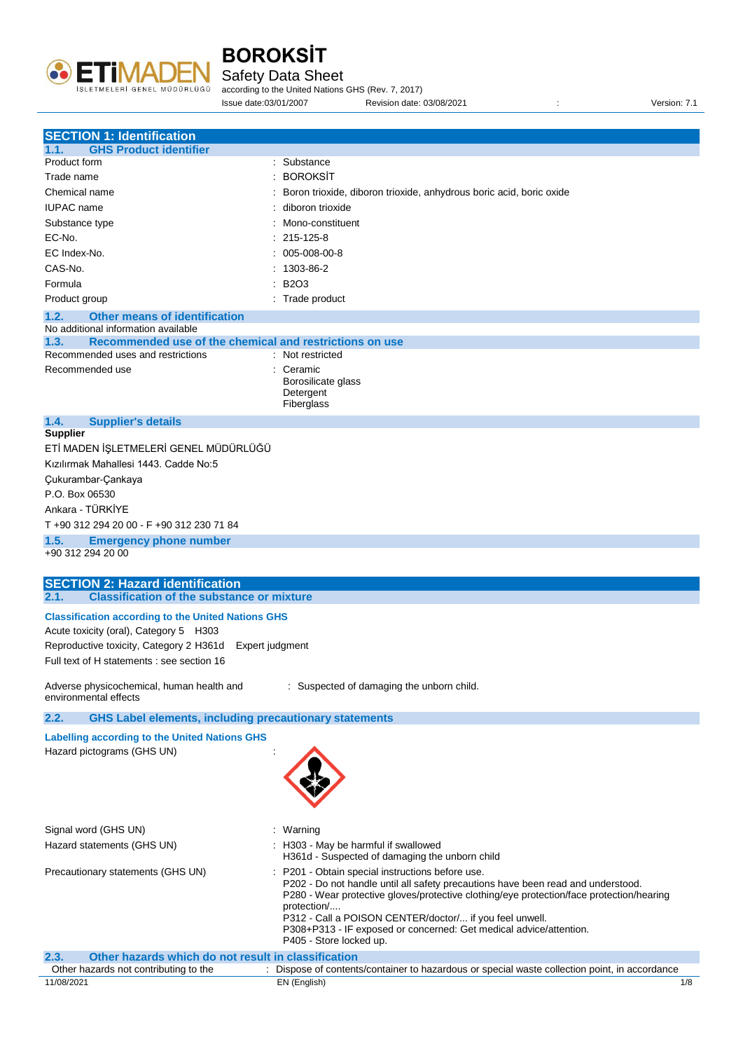

Safety Data Sheet

according to the United Nations GHS (Rev. 7, 2017) Issue date:03/01/2007 Revision date: 03/08/2021 : Version: 7.1

| <b>SECTION 1: Identification</b>                                      |                                                                                                                                                                              |
|-----------------------------------------------------------------------|------------------------------------------------------------------------------------------------------------------------------------------------------------------------------|
| <b>GHS Product identifier</b><br>1.1.                                 |                                                                                                                                                                              |
| Product form                                                          | : Substance                                                                                                                                                                  |
| Trade name                                                            | <b>BOROKSIT</b>                                                                                                                                                              |
| Chemical name                                                         | Boron trioxide, diboron trioxide, anhydrous boric acid, boric oxide                                                                                                          |
| <b>IUPAC</b> name                                                     | diboron trioxide                                                                                                                                                             |
| Substance type                                                        | Mono-constituent                                                                                                                                                             |
| EC-No.                                                                | 215-125-8                                                                                                                                                                    |
| EC Index-No.                                                          | 005-008-00-8                                                                                                                                                                 |
| CAS-No.                                                               | 1303-86-2                                                                                                                                                                    |
|                                                                       |                                                                                                                                                                              |
| Formula                                                               | <b>B2O3</b>                                                                                                                                                                  |
| Product group                                                         | : Trade product                                                                                                                                                              |
| 1.2.<br><b>Other means of identification</b>                          |                                                                                                                                                                              |
| No additional information available                                   |                                                                                                                                                                              |
| Recommended use of the chemical and restrictions on use<br>1.3.       |                                                                                                                                                                              |
| Recommended uses and restrictions                                     | : Not restricted                                                                                                                                                             |
| Recommended use                                                       | : Ceramic<br>Borosilicate glass                                                                                                                                              |
|                                                                       | Detergent                                                                                                                                                                    |
|                                                                       | Fiberglass                                                                                                                                                                   |
| 1.4.<br><b>Supplier's details</b>                                     |                                                                                                                                                                              |
| <b>Supplier</b>                                                       |                                                                                                                                                                              |
| ETİ MADEN İŞLETMELERİ GENEL MÜDÜRLÜĞÜ                                 |                                                                                                                                                                              |
| Kızılırmak Mahallesi 1443, Cadde No:5                                 |                                                                                                                                                                              |
| Çukurambar-Çankaya                                                    |                                                                                                                                                                              |
| P.O. Box 06530                                                        |                                                                                                                                                                              |
| Ankara - TÜRKİYE                                                      |                                                                                                                                                                              |
|                                                                       |                                                                                                                                                                              |
| T +90 312 294 20 00 - F +90 312 230 71 84                             |                                                                                                                                                                              |
| 1.5.<br><b>Emergency phone number</b>                                 |                                                                                                                                                                              |
| +90 312 294 20 00                                                     |                                                                                                                                                                              |
| <b>SECTION 2: Hazard identification</b>                               |                                                                                                                                                                              |
| <b>Classification of the substance or mixture</b><br>2.1.             |                                                                                                                                                                              |
|                                                                       |                                                                                                                                                                              |
| <b>Classification according to the United Nations GHS</b>             |                                                                                                                                                                              |
| Acute toxicity (oral), Category 5 H303                                |                                                                                                                                                                              |
| Reproductive toxicity, Category 2 H361d Expert judgment               |                                                                                                                                                                              |
| Full text of H statements : see section 16                            |                                                                                                                                                                              |
|                                                                       |                                                                                                                                                                              |
| Adverse physicochemical, human health and<br>environmental effects    | : Suspected of damaging the unborn child.                                                                                                                                    |
|                                                                       |                                                                                                                                                                              |
| 2.2.<br><b>GHS Label elements, including precautionary statements</b> |                                                                                                                                                                              |
| <b>Labelling according to the United Nations GHS</b>                  |                                                                                                                                                                              |
| Hazard pictograms (GHS UN)                                            |                                                                                                                                                                              |
|                                                                       |                                                                                                                                                                              |
|                                                                       |                                                                                                                                                                              |
|                                                                       |                                                                                                                                                                              |
|                                                                       |                                                                                                                                                                              |
|                                                                       |                                                                                                                                                                              |
| Signal word (GHS UN)                                                  | : Warning                                                                                                                                                                    |
| Hazard statements (GHS UN)                                            | : H303 - May be harmful if swallowed                                                                                                                                         |
|                                                                       | H361d - Suspected of damaging the unborn child                                                                                                                               |
| Precautionary statements (GHS UN)                                     | : P201 - Obtain special instructions before use.                                                                                                                             |
|                                                                       | P202 - Do not handle until all safety precautions have been read and understood.<br>P280 - Wear protective gloves/protective clothing/eye protection/face protection/hearing |
|                                                                       | protection/                                                                                                                                                                  |
|                                                                       | P312 - Call a POISON CENTER/doctor/ if you feel unwell.                                                                                                                      |
|                                                                       | P308+P313 - IF exposed or concerned: Get medical advice/attention.                                                                                                           |
|                                                                       | P405 - Store locked up.                                                                                                                                                      |
| Other hazards which do not result in classification<br>2.3.           |                                                                                                                                                                              |
| Other hazards not contributing to the<br>11/08/2021                   | Dispose of contents/container to hazardous or special waste collection point, in accordance<br>EN (English)<br>1/8                                                           |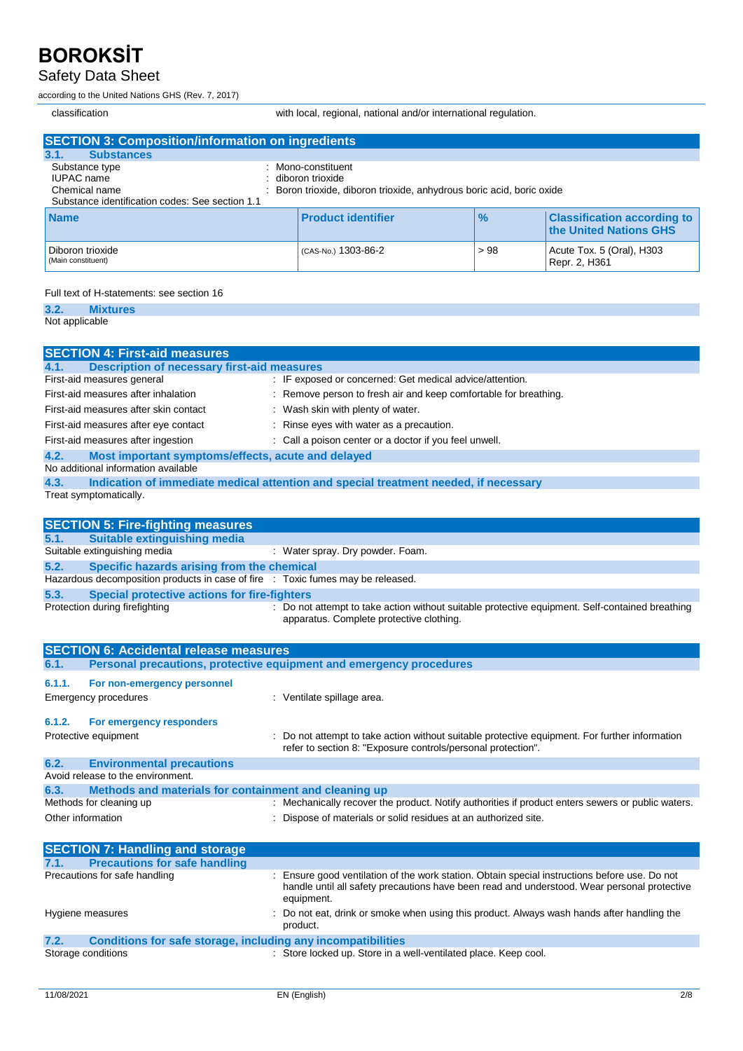### Safety Data Sheet

according to the United Nations GHS (Rev. 7, 2017)

classification with local, regional, national and/or international regulation.

| <b>SECTION 3: Composition/information on ingredients</b>                                         |                                                                                                             |               |                                                              |
|--------------------------------------------------------------------------------------------------|-------------------------------------------------------------------------------------------------------------|---------------|--------------------------------------------------------------|
| 3.1.<br><b>Substances</b>                                                                        |                                                                                                             |               |                                                              |
| Substance type<br>IUPAC name<br>Chemical name<br>Substance identification codes: See section 1.1 | Mono-constituent<br>diboron trioxide<br>Boron trioxide, diboron trioxide, anhydrous boric acid, boric oxide |               |                                                              |
| <b>Name</b>                                                                                      | <b>Product identifier</b>                                                                                   | $\frac{9}{6}$ | <b>Classification according to</b><br>the United Nations GHS |
| Diboron trioxide<br>(Main constituent)                                                           | (CAS-No.) 1303-86-2                                                                                         | > 98          | Acute Tox. 5 (Oral), H303<br>Repr. 2, H361                   |

#### Full text of H-statements: see section 16

**3.2. Mixtures** Not applicable

| <b>SECTION 4: First-aid measures</b>                                                              |                                                                                                        |
|---------------------------------------------------------------------------------------------------|--------------------------------------------------------------------------------------------------------|
| <b>Description of necessary first-aid measures</b><br>4.1.                                        |                                                                                                        |
| First-aid measures general                                                                        | : IF exposed or concerned: Get medical advice/attention.                                               |
| First-aid measures after inhalation                                                               | : Remove person to fresh air and keep comfortable for breathing.                                       |
| First-aid measures after skin contact                                                             | : Wash skin with plenty of water.                                                                      |
| First-aid measures after eye contact                                                              | : Rinse eyes with water as a precaution.                                                               |
| First-aid measures after ingestion                                                                | : Call a poison center or a doctor if you feel unwell.                                                 |
|                                                                                                   |                                                                                                        |
| 4.2.<br>Most important symptoms/effects, acute and delayed<br>No additional information available |                                                                                                        |
| 4.3.                                                                                              | Indication of immediate medical attention and special treatment needed, if necessary                   |
| Treat symptomatically.                                                                            |                                                                                                        |
|                                                                                                   |                                                                                                        |
| <b>SECTION 5: Fire-fighting measures</b>                                                          |                                                                                                        |
| <b>Suitable extinguishing media</b><br>5.1.                                                       |                                                                                                        |
| Suitable extinguishing media                                                                      | : Water spray. Dry powder. Foam.                                                                       |
| 5.2.<br>Specific hazards arising from the chemical                                                |                                                                                                        |
| Hazardous decomposition products in case of fire : Toxic fumes may be released.                   |                                                                                                        |
| 5.3.<br><b>Special protective actions for fire-fighters</b>                                       |                                                                                                        |
| Protection during firefighting                                                                    | : Do not attempt to take action without suitable protective equipment. Self-contained breathing        |
|                                                                                                   | apparatus. Complete protective clothing.                                                               |
|                                                                                                   |                                                                                                        |
|                                                                                                   |                                                                                                        |
| <b>SECTION 6: Accidental release measures</b>                                                     |                                                                                                        |
| 6.1.                                                                                              | Personal precautions, protective equipment and emergency procedures                                    |
| 6.1.1.                                                                                            |                                                                                                        |
| For non-emergency personnel                                                                       |                                                                                                        |
| <b>Emergency procedures</b>                                                                       | : Ventilate spillage area.                                                                             |
| 6.1.2.<br>For emergency responders                                                                |                                                                                                        |
| Protective equipment                                                                              | Do not attempt to take action without suitable protective equipment. For further information           |
|                                                                                                   | refer to section 8: "Exposure controls/personal protection".                                           |
| 6.2.<br><b>Environmental precautions</b>                                                          |                                                                                                        |
| Avoid release to the environment.                                                                 |                                                                                                        |
| 6.3.<br>Methods and materials for containment and cleaning up                                     |                                                                                                        |
| Methods for cleaning up                                                                           | : Mechanically recover the product. Notify authorities if product enters sewers or public waters.      |
| Other information                                                                                 | : Dispose of materials or solid residues at an authorized site.                                        |
|                                                                                                   |                                                                                                        |
| <b>SECTION 7: Handling and storage</b>                                                            |                                                                                                        |
| <b>Precautions for safe handling</b><br>7.1.                                                      |                                                                                                        |
| Precautions for safe handling                                                                     | Ensure good ventilation of the work station. Obtain special instructions before use. Do not            |
|                                                                                                   | handle until all safety precautions have been read and understood. Wear personal protective            |
| Hygiene measures                                                                                  | equipment.<br>Do not eat, drink or smoke when using this product. Always wash hands after handling the |

Storage conditions **Store Inc.** Store locked up. Store in a well-ventilated place. Keep cool.

**7.2. Conditions for safe storage, including any incompatibilities**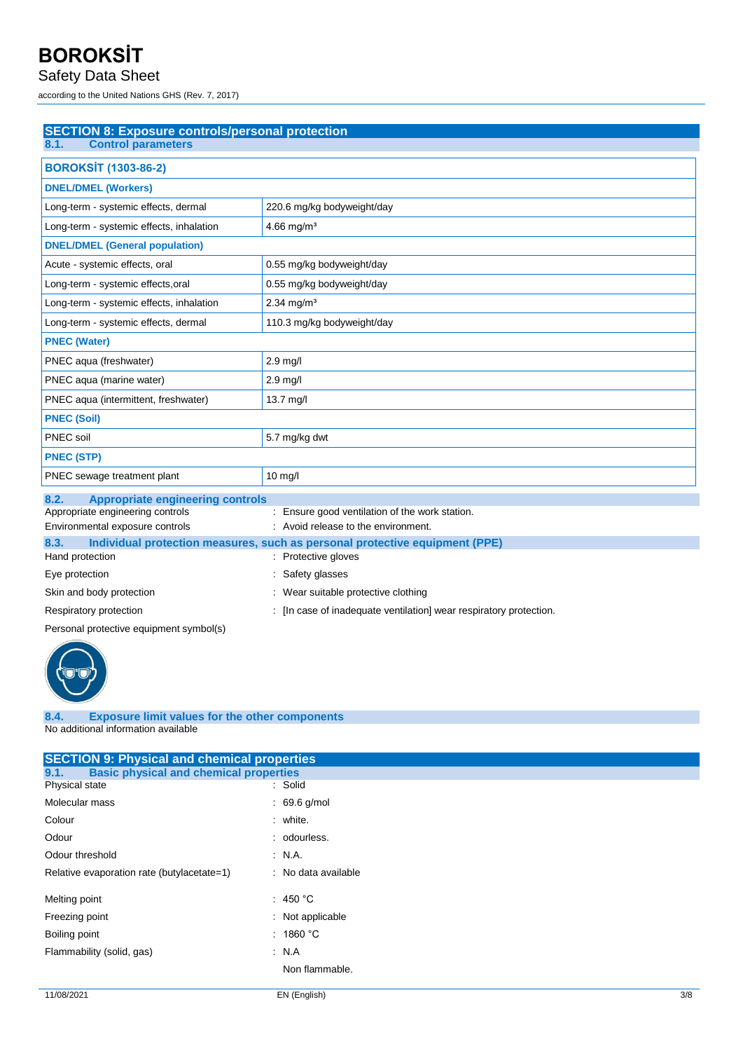### Safety Data Sheet

according to the United Nations GHS (Rev. 7, 2017)

| <b>SECTION 8: Exposure controls/personal protection</b> |                                                |
|---------------------------------------------------------|------------------------------------------------|
| <b>Control parameters</b><br>8.1.                       |                                                |
| <b>BOROKSİT (1303-86-2)</b>                             |                                                |
| <b>DNEL/DMEL (Workers)</b>                              |                                                |
| Long-term - systemic effects, dermal                    | 220.6 mg/kg bodyweight/day                     |
| Long-term - systemic effects, inhalation                | $4.66$ mg/m <sup>3</sup>                       |
| <b>DNEL/DMEL (General population)</b>                   |                                                |
| Acute - systemic effects, oral                          | 0.55 mg/kg bodyweight/day                      |
| Long-term - systemic effects, oral                      | 0.55 mg/kg bodyweight/day                      |
| Long-term - systemic effects, inhalation                | $2.34$ mg/m <sup>3</sup>                       |
| Long-term - systemic effects, dermal                    | 110.3 mg/kg bodyweight/day                     |
| <b>PNEC (Water)</b>                                     |                                                |
| PNEC aqua (freshwater)                                  | $2.9$ mg/l                                     |
| PNEC aqua (marine water)                                | 2.9 mg/l                                       |
| PNEC aqua (intermittent, freshwater)                    | 13.7 mg/l                                      |
| <b>PNEC (Soil)</b>                                      |                                                |
| PNEC soil                                               | 5.7 mg/kg dwt                                  |
| <b>PNEC (STP)</b>                                       |                                                |
| PNEC sewage treatment plant                             | 10 mg/l                                        |
| 8.2.<br><b>Appropriate engineering controls</b>         |                                                |
| Appropriate engineering controls                        | : Ensure good ventilation of the work station. |
| Environmental exposure controle                         | Avoid release to the environment               |

| Environmental exposure controls | : Avoid release to the environment.                                         |
|---------------------------------|-----------------------------------------------------------------------------|
| 8.3.                            | Individual protection measures, such as personal protective equipment (PPE) |
| Hand protection                 | : Protective gloves                                                         |
| Eye protection                  | : Safety glasses                                                            |
| Skin and body protection        | Wear suitable protective clothing                                           |
| Respiratory protection          | : [In case of inadequate ventilation] wear respiratory protection.          |
|                                 |                                                                             |

Personal protective equipment symbol(s)



#### **8.4. Exposure limit values for the other components** No additional information available

| <b>SECTION 9: Physical and chemical properties</b>    |                     |
|-------------------------------------------------------|---------------------|
| <b>Basic physical and chemical properties</b><br>9.1. |                     |
| Physical state                                        | : Solid             |
| Molecular mass                                        | $: 69.6$ g/mol      |
| Colour                                                | : white.            |
| Odour                                                 | : odourless.        |
| Odour threshold                                       | $\therefore$ N.A.   |
| Relative evaporation rate (butylacetate=1)            | : No data available |
| Melting point                                         | : 450 °C            |
| Freezing point                                        | : Not applicable    |
| Boiling point                                         | : 1860 °C           |
| Flammability (solid, gas)                             | $\therefore$ N.A    |
|                                                       | Non flammable.      |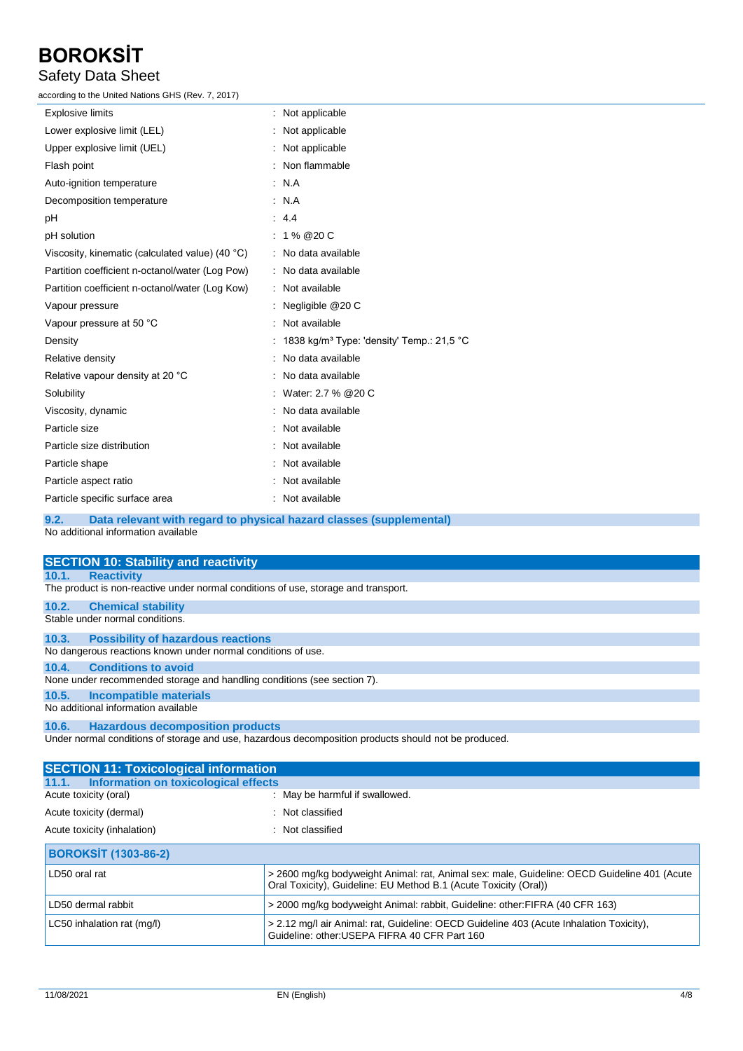### Safety Data Sheet

according to the United Nations GHS (Rev. 7, 2017)

| <b>Explosive limits</b>                         | : Not applicable                                                    |
|-------------------------------------------------|---------------------------------------------------------------------|
| Lower explosive limit (LEL)                     | : Not applicable                                                    |
| Upper explosive limit (UEL)                     | : Not applicable                                                    |
| Flash point                                     | : Non flammable                                                     |
| Auto-ignition temperature                       | : N.A                                                               |
| Decomposition temperature                       | : N.A                                                               |
| pH                                              | 4.4                                                                 |
| pH solution                                     | $: 1\% @ 20 C$                                                      |
| Viscosity, kinematic (calculated value) (40 °C) | : No data available                                                 |
| Partition coefficient n-octanol/water (Log Pow) | : No data available                                                 |
| Partition coefficient n-octanol/water (Log Kow) | : Not available                                                     |
| Vapour pressure                                 | : Negligible $@20C$                                                 |
| Vapour pressure at 50 °C                        | : Not available                                                     |
| Density                                         | : 1838 kg/m <sup>3</sup> Type: 'density' Temp.: 21,5 °C             |
| Relative density                                | : No data available                                                 |
| Relative vapour density at 20 °C                | : No data available                                                 |
| Solubility                                      | : Water: 2.7 % @ 20 C                                               |
| Viscosity, dynamic                              | : No data available                                                 |
| Particle size                                   | : Not available                                                     |
| Particle size distribution                      | : Not available                                                     |
| Particle shape                                  | : Not available                                                     |
| Particle aspect ratio                           | : Not available                                                     |
| Particle specific surface area                  | : Not available                                                     |
| 9.2.                                            | Data relevant with regard to physical hazard classes (supplemental) |

No additional information available

|       | <b>SECTION 10: Stability and reactivity</b>                                        |
|-------|------------------------------------------------------------------------------------|
| 10.1. | <b>Reactivity</b>                                                                  |
|       | The product is non-reactive under normal conditions of use, storage and transport. |
| 10.2. | <b>Chemical stability</b>                                                          |
|       | Stable under normal conditions.                                                    |
| 10.3. | <b>Possibility of hazardous reactions</b>                                          |
|       | No dangerous reactions known under normal conditions of use.                       |
| 10.4. | <b>Conditions to avoid</b>                                                         |
|       | None under recommended storage and handling conditions (see section 7).            |
| 10.5. | Incompatible materials                                                             |
|       | No additional information available                                                |
|       | 10.6. Hazardous decomposition products                                             |

Under normal conditions of storage and use, hazardous decomposition products should not be produced.

| <b>SECTION 11: Toxicological information</b>  |                                                                                                                                                                 |
|-----------------------------------------------|-----------------------------------------------------------------------------------------------------------------------------------------------------------------|
| Information on toxicological effects<br>11.1. |                                                                                                                                                                 |
| Acute toxicity (oral)                         | : May be harmful if swallowed.                                                                                                                                  |
| Acute toxicity (dermal)                       | : Not classified                                                                                                                                                |
| Acute toxicity (inhalation)                   | : Not classified                                                                                                                                                |
| <b>BOROKSIT (1303-86-2)</b>                   |                                                                                                                                                                 |
| LD50 oral rat                                 | > 2600 mg/kg bodyweight Animal: rat, Animal sex: male, Guideline: OECD Guideline 401 (Acute<br>Oral Toxicity), Guideline: EU Method B.1 (Acute Toxicity (Oral)) |
| LD50 dermal rabbit                            | > 2000 mg/kg bodyweight Animal: rabbit, Guideline: other: FIFRA (40 CFR 163)                                                                                    |
| LC50 inhalation rat (mg/l)                    | > 2.12 mg/l air Animal: rat, Guideline: OECD Guideline 403 (Acute Inhalation Toxicity),<br>Guideline: other: USEPA FIFRA 40 CFR Part 160                        |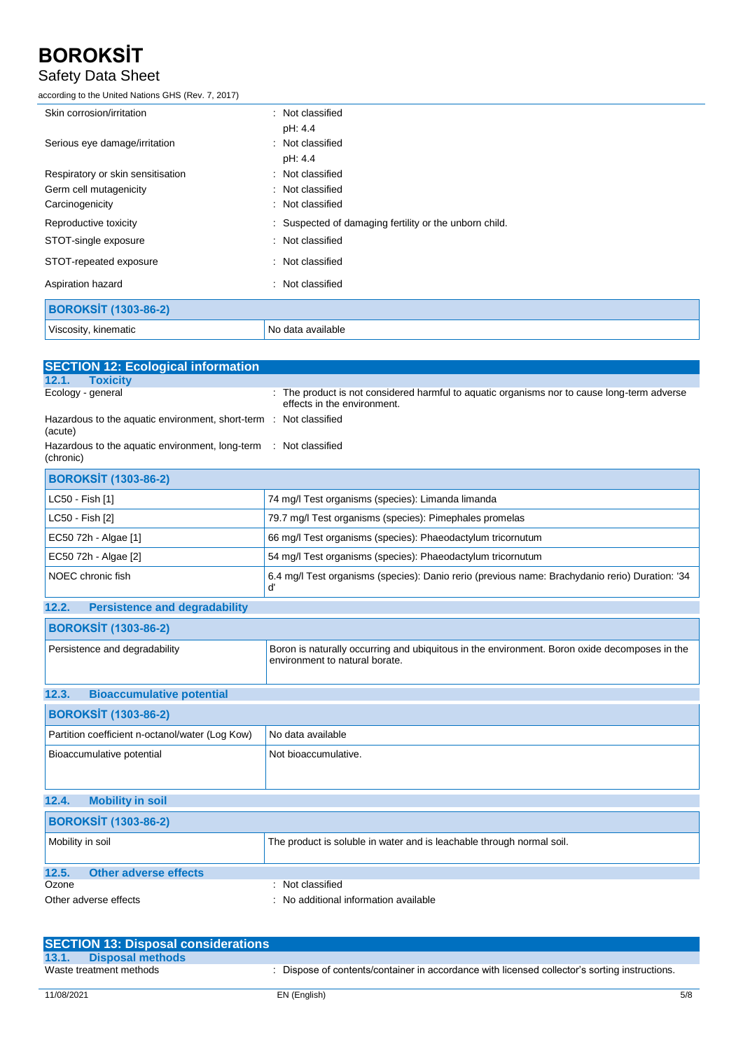### Safety Data Sheet

according to the United Nations GHS (Rev. 7, 2017)

| Skin corrosion/irritation         | : Not classified                                       |
|-----------------------------------|--------------------------------------------------------|
|                                   | pH: 4.4                                                |
| Serious eye damage/irritation     | : Not classified                                       |
|                                   | pH: 4.4                                                |
| Respiratory or skin sensitisation | : Not classified                                       |
| Germ cell mutagenicity            | : Not classified                                       |
| Carcinogenicity                   | : Not classified                                       |
| Reproductive toxicity             | : Suspected of damaging fertility or the unborn child. |
| STOT-single exposure              | : Not classified                                       |
| STOT-repeated exposure            | : Not classified                                       |
| Aspiration hazard                 | : Not classified                                       |
| <b>BOROKSİT (1303-86-2)</b>       |                                                        |
| Viscosity, kinematic              | No data available                                      |

| <b>SECTION 12: Ecological information</b>                                     |                                                                                                                                 |
|-------------------------------------------------------------------------------|---------------------------------------------------------------------------------------------------------------------------------|
| <b>Toxicity</b><br>12.1.                                                      |                                                                                                                                 |
| Ecology - general                                                             | : The product is not considered harmful to aquatic organisms nor to cause long-term adverse<br>effects in the environment.      |
| Hazardous to the aquatic environment, short-term : Not classified<br>(acute)  |                                                                                                                                 |
| Hazardous to the aquatic environment, long-term : Not classified<br>(chronic) |                                                                                                                                 |
| <b>BOROKSIT (1303-86-2)</b>                                                   |                                                                                                                                 |
| LC50 - Fish [1]                                                               | 74 mg/l Test organisms (species): Limanda limanda                                                                               |
| LC50 - Fish [2]                                                               | 79.7 mg/l Test organisms (species): Pimephales promelas                                                                         |
| EC50 72h - Algae [1]                                                          | 66 mg/l Test organisms (species): Phaeodactylum tricornutum                                                                     |
| EC50 72h - Algae [2]                                                          | 54 mg/l Test organisms (species): Phaeodactylum tricornutum                                                                     |
| NOEC chronic fish                                                             | 6.4 mg/l Test organisms (species): Danio rerio (previous name: Brachydanio rerio) Duration: '34<br>ď                            |
| <b>Persistence and degradability</b><br>12.2.                                 |                                                                                                                                 |
| <b>BOROKSİT (1303-86-2)</b>                                                   |                                                                                                                                 |
| Persistence and degradability                                                 | Boron is naturally occurring and ubiquitous in the environment. Boron oxide decomposes in the<br>environment to natural borate. |
| <b>Bioaccumulative potential</b><br>12.3.                                     |                                                                                                                                 |
| <b>BOROKSİT (1303-86-2)</b>                                                   |                                                                                                                                 |
| Partition coefficient n-octanol/water (Log Kow)                               | No data available                                                                                                               |
| Bioaccumulative potential                                                     | Not bioaccumulative.                                                                                                            |
| <b>Mobility in soil</b><br>12.4.                                              |                                                                                                                                 |
| <b>BOROKSİT (1303-86-2)</b>                                                   |                                                                                                                                 |
| Mobility in soil                                                              | The product is soluble in water and is leachable through normal soil.                                                           |
| <b>Other adverse effects</b><br>12.5.                                         |                                                                                                                                 |
| Ozone                                                                         | : Not classified                                                                                                                |
| Other adverse effects                                                         | : No additional information available                                                                                           |

| <b>SECTION 13: Disposal considerations</b> |                                                                                             |
|--------------------------------------------|---------------------------------------------------------------------------------------------|
| 13.1.<br>Disposal methods                  |                                                                                             |
| Waste treatment methods                    | Dispose of contents/container in accordance with licensed collector's sorting instructions. |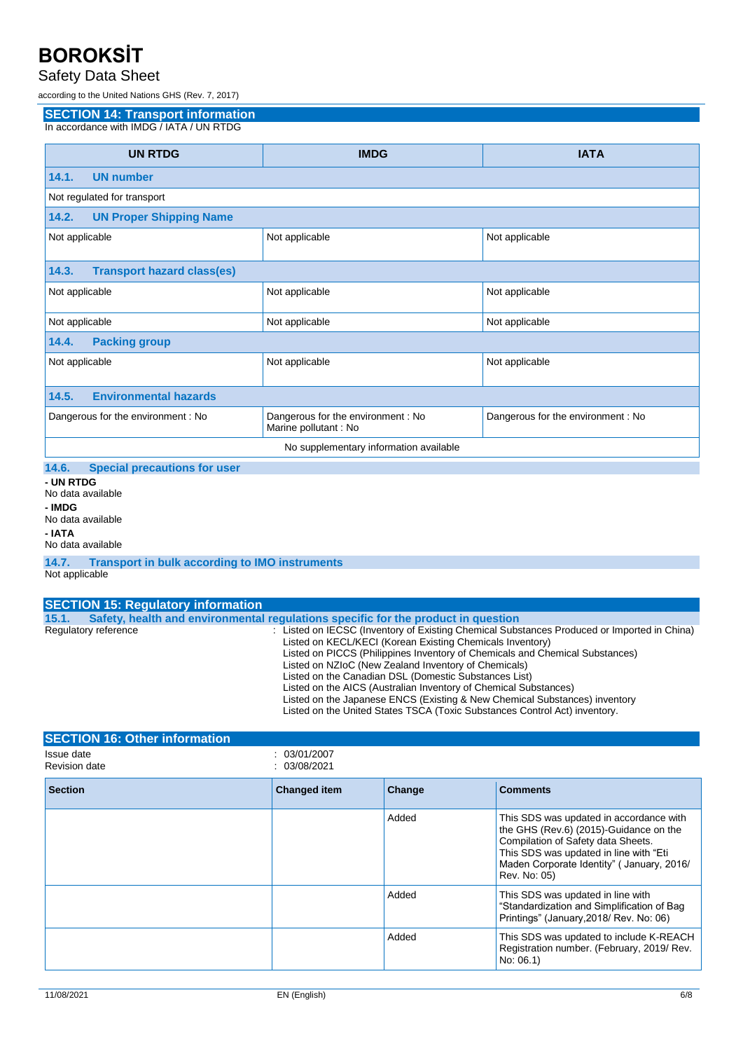#### Safety Data Sheet

according to the United Nations GHS (Rev. 7, 2017)

**SECTION 14: Transport information**

In accordance with IMDG / IATA / UN RTDG

| <b>UN RTDG</b>                               | <b>IMDG</b>                                                 | <b>IATA</b>                        |  |  |
|----------------------------------------------|-------------------------------------------------------------|------------------------------------|--|--|
| 14.1.<br><b>UN number</b>                    |                                                             |                                    |  |  |
| Not regulated for transport                  |                                                             |                                    |  |  |
| <b>UN Proper Shipping Name</b><br>14.2.      |                                                             |                                    |  |  |
| Not applicable                               | Not applicable                                              | Not applicable                     |  |  |
| 14.3.<br><b>Transport hazard class(es)</b>   |                                                             |                                    |  |  |
| Not applicable                               | Not applicable                                              | Not applicable                     |  |  |
| Not applicable                               | Not applicable                                              | Not applicable                     |  |  |
| <b>Packing group</b><br>14.4.                |                                                             |                                    |  |  |
| Not applicable                               | Not applicable                                              | Not applicable                     |  |  |
| <b>Environmental hazards</b><br>14.5.        |                                                             |                                    |  |  |
| Dangerous for the environment : No           | Dangerous for the environment : No<br>Marine pollutant : No | Dangerous for the environment : No |  |  |
| No supplementary information available       |                                                             |                                    |  |  |
| 14.6.<br><b>Special precautions for user</b> |                                                             |                                    |  |  |
| - UN RTDG<br>No data available               |                                                             |                                    |  |  |

**- IMDG** No data available **- IATA** No data available

**SECTION 16: Other information**

#### **14.7. Transport in bulk according to IMO instruments** Not applicable

| <b>SECTION 15: Regulatory information</b> |                                                                                                                                                                                                                                                                                                                                                                                                                                                                                                                                                                                           |
|-------------------------------------------|-------------------------------------------------------------------------------------------------------------------------------------------------------------------------------------------------------------------------------------------------------------------------------------------------------------------------------------------------------------------------------------------------------------------------------------------------------------------------------------------------------------------------------------------------------------------------------------------|
| 15.1.                                     | Safety, health and environmental requiations specific for the product in question                                                                                                                                                                                                                                                                                                                                                                                                                                                                                                         |
| Regulatory reference                      | : Listed on IECSC (Inventory of Existing Chemical Substances Produced or Imported in China)<br>Listed on KECL/KECI (Korean Existing Chemicals Inventory)<br>Listed on PICCS (Philippines Inventory of Chemicals and Chemical Substances)<br>Listed on NZIoC (New Zealand Inventory of Chemicals)<br>Listed on the Canadian DSL (Domestic Substances List)<br>Listed on the AICS (Australian Inventory of Chemical Substances)<br>Listed on the Japanese ENCS (Existing & New Chemical Substances) inventory<br>Listed on the United States TSCA (Toxic Substances Control Act) inventory. |

| Issue date<br><b>Revision date</b> | : 03/01/2007<br>: 03/08/2021 |        |                                                                                                                                                                                                                                 |
|------------------------------------|------------------------------|--------|---------------------------------------------------------------------------------------------------------------------------------------------------------------------------------------------------------------------------------|
| <b>Section</b>                     | <b>Changed item</b>          | Change | <b>Comments</b>                                                                                                                                                                                                                 |
|                                    |                              | Added  | This SDS was updated in accordance with<br>the GHS (Rev.6) (2015)-Guidance on the<br>Compilation of Safety data Sheets.<br>This SDS was updated in line with "Eti<br>Maden Corporate Identity" ( January, 2016/<br>Rev. No: 05) |
|                                    |                              | Added  | This SDS was updated in line with<br>"Standardization and Simplification of Bag<br>Printings" (January, 2018/ Rev. No: 06)                                                                                                      |
|                                    |                              | Added  | This SDS was updated to include K-REACH<br>Registration number. (February, 2019/Rev.<br>No: 06.1)                                                                                                                               |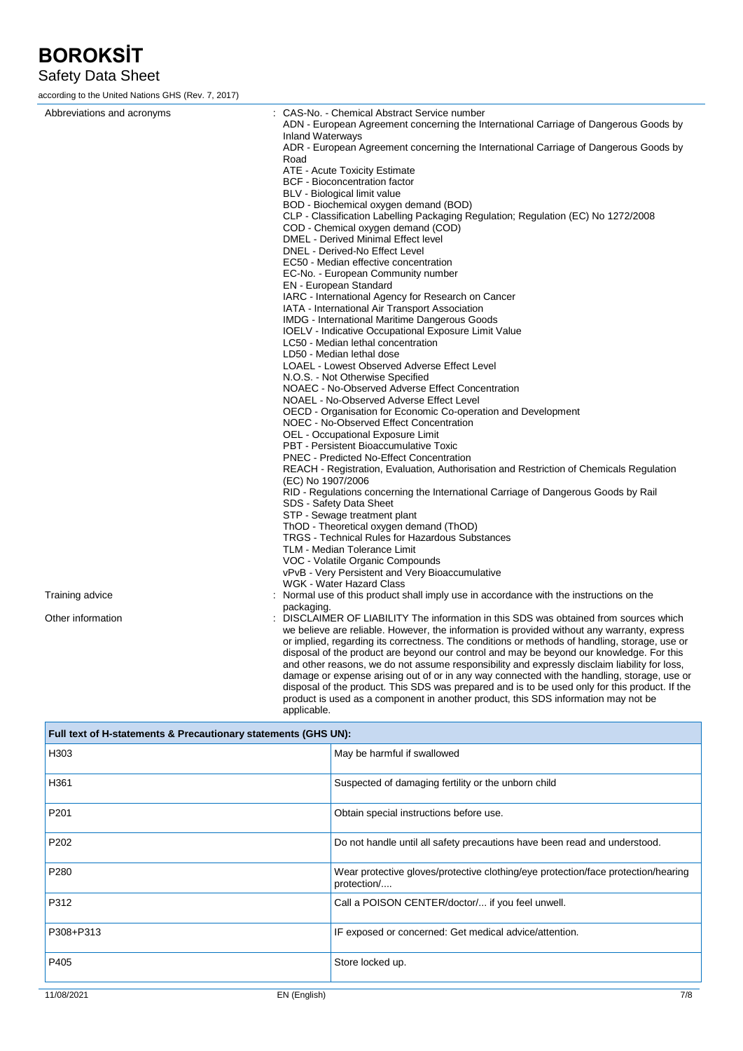### Safety Data Sheet

according to the United Nations GHS (Rev. 7, 2017)

| Abbreviations and acronyms | : CAS-No. - Chemical Abstract Service number                                                                                                                                                 |
|----------------------------|----------------------------------------------------------------------------------------------------------------------------------------------------------------------------------------------|
|                            | ADN - European Agreement concerning the International Carriage of Dangerous Goods by                                                                                                         |
|                            | <b>Inland Waterways</b>                                                                                                                                                                      |
|                            | ADR - European Agreement concerning the International Carriage of Dangerous Goods by<br>Road                                                                                                 |
|                            | ATE - Acute Toxicity Estimate                                                                                                                                                                |
|                            | <b>BCF</b> - Bioconcentration factor                                                                                                                                                         |
|                            | BLV - Biological limit value                                                                                                                                                                 |
|                            | BOD - Biochemical oxygen demand (BOD)                                                                                                                                                        |
|                            | CLP - Classification Labelling Packaging Regulation; Regulation (EC) No 1272/2008                                                                                                            |
|                            | COD - Chemical oxygen demand (COD)                                                                                                                                                           |
|                            | <b>DMEL</b> - Derived Minimal Effect level                                                                                                                                                   |
|                            | DNEL - Derived-No Effect Level                                                                                                                                                               |
|                            | EC50 - Median effective concentration                                                                                                                                                        |
|                            | EC-No. - European Community number                                                                                                                                                           |
|                            | <b>EN</b> - European Standard                                                                                                                                                                |
|                            | IARC - International Agency for Research on Cancer                                                                                                                                           |
|                            | IATA - International Air Transport Association                                                                                                                                               |
|                            | <b>IMDG</b> - International Maritime Dangerous Goods                                                                                                                                         |
|                            | <b>IOELV</b> - Indicative Occupational Exposure Limit Value<br>LC50 - Median lethal concentration                                                                                            |
|                            | LD50 - Median lethal dose                                                                                                                                                                    |
|                            | LOAEL - Lowest Observed Adverse Effect Level                                                                                                                                                 |
|                            | N.O.S. - Not Otherwise Specified                                                                                                                                                             |
|                            | NOAEC - No-Observed Adverse Effect Concentration                                                                                                                                             |
|                            | NOAEL - No-Observed Adverse Effect Level                                                                                                                                                     |
|                            | OECD - Organisation for Economic Co-operation and Development                                                                                                                                |
|                            | NOEC - No-Observed Effect Concentration                                                                                                                                                      |
|                            | OEL - Occupational Exposure Limit                                                                                                                                                            |
|                            | PBT - Persistent Bioaccumulative Toxic                                                                                                                                                       |
|                            | PNEC - Predicted No-Effect Concentration                                                                                                                                                     |
|                            | REACH - Registration, Evaluation, Authorisation and Restriction of Chemicals Regulation                                                                                                      |
|                            | (EC) No 1907/2006<br>RID - Regulations concerning the International Carriage of Dangerous Goods by Rail                                                                                      |
|                            | SDS - Safety Data Sheet                                                                                                                                                                      |
|                            | STP - Sewage treatment plant                                                                                                                                                                 |
|                            | ThOD - Theoretical oxygen demand (ThOD)                                                                                                                                                      |
|                            | <b>TRGS</b> - Technical Rules for Hazardous Substances                                                                                                                                       |
|                            | TLM - Median Tolerance Limit                                                                                                                                                                 |
|                            | VOC - Volatile Organic Compounds                                                                                                                                                             |
|                            | vPvB - Very Persistent and Very Bioaccumulative                                                                                                                                              |
|                            | WGK - Water Hazard Class                                                                                                                                                                     |
| Training advice            | Normal use of this product shall imply use in accordance with the instructions on the                                                                                                        |
|                            | packaging.                                                                                                                                                                                   |
| Other information          | : DISCLAIMER OF LIABILITY The information in this SDS was obtained from sources which                                                                                                        |
|                            | we believe are reliable. However, the information is provided without any warranty, express<br>or implied, regarding its correctness. The conditions or methods of handling, storage, use or |
|                            | disposal of the product are beyond our control and may be beyond our knowledge. For this                                                                                                     |
|                            | and other reasons, we do not assume responsibility and expressly disclaim liability for loss,                                                                                                |
|                            | damage or expense arising out of or in any way connected with the handling, storage, use or                                                                                                  |
|                            | disposal of the product. This SDS was prepared and is to be used only for this product. If the                                                                                               |

disposal of the product. This SDS was prepared and is to be used only for this product. If the product is used as a component in another product, this SDS information may not be applicable.

| Full text of H-statements & Precautionary statements (GHS UN): |                                                                                                  |  |
|----------------------------------------------------------------|--------------------------------------------------------------------------------------------------|--|
| H303                                                           | May be harmful if swallowed                                                                      |  |
| H361                                                           | Suspected of damaging fertility or the unborn child                                              |  |
| P201                                                           | Obtain special instructions before use.                                                          |  |
| P <sub>202</sub>                                               | Do not handle until all safety precautions have been read and understood.                        |  |
| P280                                                           | Wear protective gloves/protective clothing/eye protection/face protection/hearing<br>protection/ |  |
| P312                                                           | Call a POISON CENTER/doctor/ if you feel unwell.                                                 |  |
| P308+P313                                                      | IF exposed or concerned: Get medical advice/attention.                                           |  |
| P405                                                           | Store locked up.                                                                                 |  |